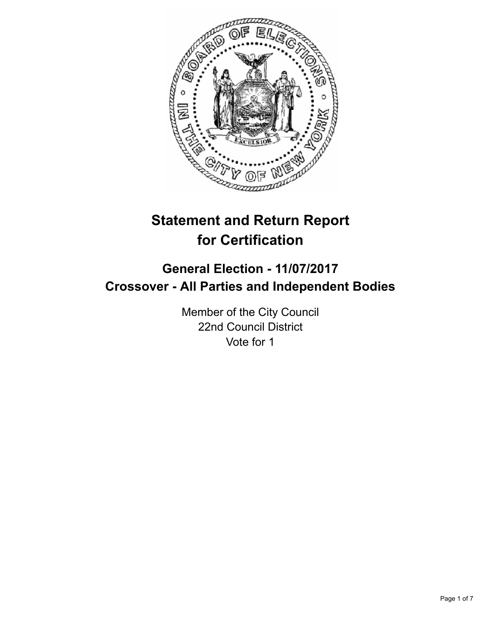

# **Statement and Return Report for Certification**

# **General Election - 11/07/2017 Crossover - All Parties and Independent Bodies**

Member of the City Council 22nd Council District Vote for 1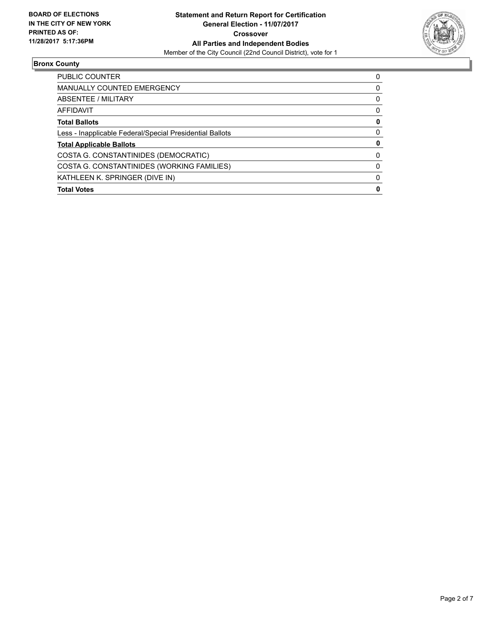

## **Bronx County**

| PUBLIC COUNTER                                           | 0 |
|----------------------------------------------------------|---|
| <b>MANUALLY COUNTED EMERGENCY</b>                        | 0 |
| ABSENTEE / MILITARY                                      | 0 |
| <b>AFFIDAVIT</b>                                         | 0 |
| <b>Total Ballots</b>                                     | 0 |
| Less - Inapplicable Federal/Special Presidential Ballots | 0 |
| <b>Total Applicable Ballots</b>                          | 0 |
| COSTA G. CONSTANTINIDES (DEMOCRATIC)                     | 0 |
| COSTA G. CONSTANTINIDES (WORKING FAMILIES)               | 0 |
| KATHLEEN K. SPRINGER (DIVE IN)                           | 0 |
| <b>Total Votes</b>                                       | 0 |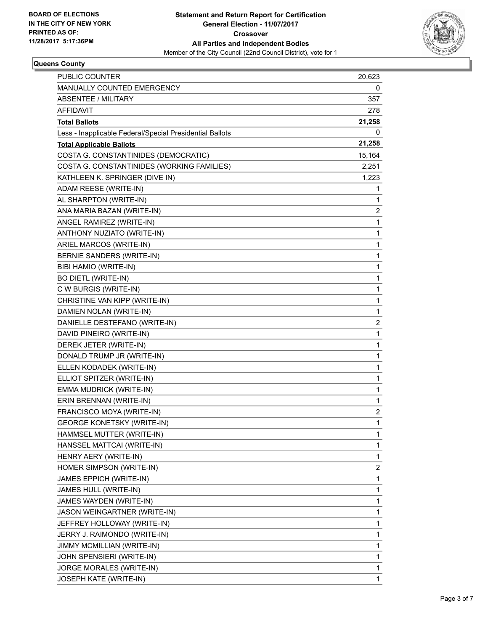

# **Queens County**

| PUBLIC COUNTER                                           | 20,623 |
|----------------------------------------------------------|--------|
| <b>MANUALLY COUNTED EMERGENCY</b>                        | 0      |
| ABSENTEE / MILITARY                                      | 357    |
| <b>AFFIDAVIT</b>                                         | 278    |
| <b>Total Ballots</b>                                     | 21,258 |
| Less - Inapplicable Federal/Special Presidential Ballots | 0      |
| <b>Total Applicable Ballots</b>                          | 21,258 |
| COSTA G. CONSTANTINIDES (DEMOCRATIC)                     | 15,164 |
| COSTA G. CONSTANTINIDES (WORKING FAMILIES)               | 2,251  |
| KATHLEEN K. SPRINGER (DIVE IN)                           | 1,223  |
| ADAM REESE (WRITE-IN)                                    | 1      |
| AL SHARPTON (WRITE-IN)                                   | 1      |
| ANA MARIA BAZAN (WRITE-IN)                               | 2      |
| ANGEL RAMIREZ (WRITE-IN)                                 | 1      |
| ANTHONY NUZIATO (WRITE-IN)                               | 1      |
| ARIEL MARCOS (WRITE-IN)                                  | 1      |
| BERNIE SANDERS (WRITE-IN)                                | 1      |
| BIBI HAMIO (WRITE-IN)                                    | 1      |
| <b>BO DIETL (WRITE-IN)</b>                               | 1      |
| C W BURGIS (WRITE-IN)                                    | 1      |
| CHRISTINE VAN KIPP (WRITE-IN)                            | 1      |
| DAMIEN NOLAN (WRITE-IN)                                  | 1      |
| DANIELLE DESTEFANO (WRITE-IN)                            | 2      |
| DAVID PINEIRO (WRITE-IN)                                 | 1      |
| DEREK JETER (WRITE-IN)                                   | 1      |
| DONALD TRUMP JR (WRITE-IN)                               | 1      |
| ELLEN KODADEK (WRITE-IN)                                 | 1      |
| ELLIOT SPITZER (WRITE-IN)                                | 1      |
| EMMA MUDRICK (WRITE-IN)                                  | 1      |
| ERIN BRENNAN (WRITE-IN)                                  | 1      |
| FRANCISCO MOYA (WRITE-IN)                                | 2      |
| <b>GEORGE KONETSKY (WRITE-IN)</b>                        | 1      |
| HAMMSEL MUTTER (WRITE-IN)                                | 1      |
| HANSSEL MATTCAI (WRITE-IN)                               | 1      |
| HENRY AERY (WRITE-IN)                                    | 1      |
| HOMER SIMPSON (WRITE-IN)                                 | 2      |
| JAMES EPPICH (WRITE-IN)                                  | 1      |
| JAMES HULL (WRITE-IN)                                    | 1      |
| JAMES WAYDEN (WRITE-IN)                                  | 1      |
| JASON WEINGARTNER (WRITE-IN)                             | 1      |
| JEFFREY HOLLOWAY (WRITE-IN)                              | 1      |
| JERRY J. RAIMONDO (WRITE-IN)                             | 1      |
| JIMMY MCMILLIAN (WRITE-IN)                               | 1      |
| JOHN SPENSIERI (WRITE-IN)                                | 1      |
| JORGE MORALES (WRITE-IN)                                 | 1      |
| JOSEPH KATE (WRITE-IN)                                   | 1      |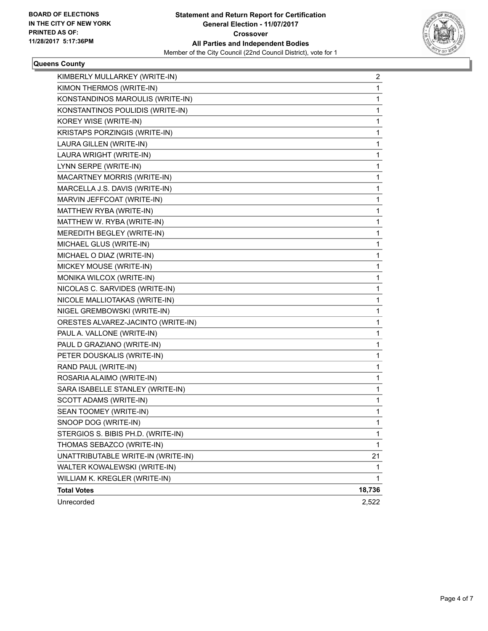

#### **Queens County**

| KIMBERLY MULLARKEY (WRITE-IN)      | $\mathbf{2}$ |
|------------------------------------|--------------|
| KIMON THERMOS (WRITE-IN)           | 1            |
| KONSTANDINOS MAROULIS (WRITE-IN)   | 1            |
| KONSTANTINOS POULIDIS (WRITE-IN)   | 1            |
| KOREY WISE (WRITE-IN)              | 1            |
| KRISTAPS PORZINGIS (WRITE-IN)      | 1            |
| LAURA GILLEN (WRITE-IN)            | 1            |
| LAURA WRIGHT (WRITE-IN)            | 1            |
| LYNN SERPE (WRITE-IN)              | 1            |
| MACARTNEY MORRIS (WRITE-IN)        | 1            |
| MARCELLA J.S. DAVIS (WRITE-IN)     | 1            |
| MARVIN JEFFCOAT (WRITE-IN)         | 1            |
| MATTHEW RYBA (WRITE-IN)            | 1            |
| MATTHEW W. RYBA (WRITE-IN)         | 1            |
| MEREDITH BEGLEY (WRITE-IN)         | 1            |
| MICHAEL GLUS (WRITE-IN)            | 1            |
| MICHAEL O DIAZ (WRITE-IN)          | 1            |
| MICKEY MOUSE (WRITE-IN)            | 1            |
| MONIKA WILCOX (WRITE-IN)           | 1            |
| NICOLAS C. SARVIDES (WRITE-IN)     | 1            |
| NICOLE MALLIOTAKAS (WRITE-IN)      | 1            |
| NIGEL GREMBOWSKI (WRITE-IN)        | 1            |
| ORESTES ALVAREZ-JACINTO (WRITE-IN) | 1            |
| PAUL A. VALLONE (WRITE-IN)         | 1            |
| PAUL D GRAZIANO (WRITE-IN)         | 1            |
| PETER DOUSKALIS (WRITE-IN)         | 1            |
| RAND PAUL (WRITE-IN)               | 1            |
| ROSARIA ALAIMO (WRITE-IN)          | 1            |
| SARA ISABELLE STANLEY (WRITE-IN)   | 1            |
| SCOTT ADAMS (WRITE-IN)             | 1            |
| SEAN TOOMEY (WRITE-IN)             | 1            |
| SNOOP DOG (WRITE-IN)               | $\mathbf{1}$ |
| STERGIOS S. BIBIS PH.D. (WRITE-IN) | 1            |
| THOMAS SEBAZCO (WRITE-IN)          | 1            |
| UNATTRIBUTABLE WRITE-IN (WRITE-IN) | 21           |
| WALTER KOWALEWSKI (WRITE-IN)       | 1            |
| WILLIAM K. KREGLER (WRITE-IN)      | 1            |
| <b>Total Votes</b>                 | 18,736       |
| Unrecorded                         | 2,522        |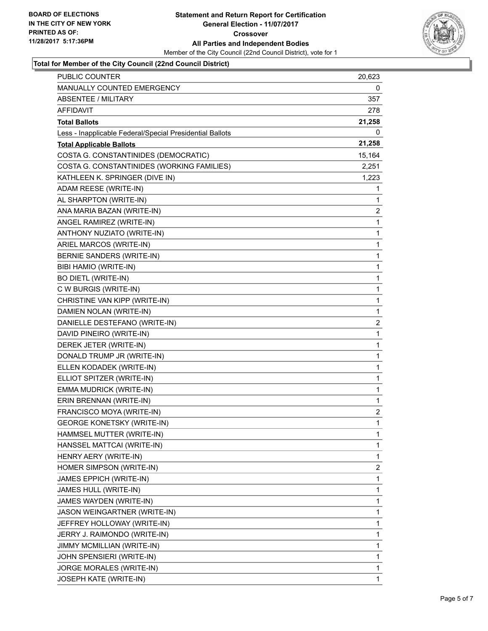

### **Total for Member of the City Council (22nd Council District)**

| <b>PUBLIC COUNTER</b>                                    | 20,623       |
|----------------------------------------------------------|--------------|
| MANUALLY COUNTED EMERGENCY                               | 0            |
| <b>ABSENTEE / MILITARY</b>                               | 357          |
| AFFIDAVIT                                                | 278          |
| <b>Total Ballots</b>                                     | 21,258       |
| Less - Inapplicable Federal/Special Presidential Ballots | 0            |
| <b>Total Applicable Ballots</b>                          | 21,258       |
| COSTA G. CONSTANTINIDES (DEMOCRATIC)                     | 15,164       |
| COSTA G. CONSTANTINIDES (WORKING FAMILIES)               | 2,251        |
| KATHLEEN K. SPRINGER (DIVE IN)                           | 1,223        |
| ADAM REESE (WRITE-IN)                                    | 1            |
| AL SHARPTON (WRITE-IN)                                   | 1            |
| ANA MARIA BAZAN (WRITE-IN)                               | 2            |
| ANGEL RAMIREZ (WRITE-IN)                                 | 1            |
| ANTHONY NUZIATO (WRITE-IN)                               | 1            |
| ARIEL MARCOS (WRITE-IN)                                  | 1            |
| BERNIE SANDERS (WRITE-IN)                                | 1            |
| BIBI HAMIO (WRITE-IN)                                    | 1            |
| <b>BO DIETL (WRITE-IN)</b>                               | 1            |
| C W BURGIS (WRITE-IN)                                    | 1            |
| CHRISTINE VAN KIPP (WRITE-IN)                            | 1            |
| DAMIEN NOLAN (WRITE-IN)                                  | 1            |
| DANIELLE DESTEFANO (WRITE-IN)                            | 2            |
| DAVID PINEIRO (WRITE-IN)                                 | 1            |
| DEREK JETER (WRITE-IN)                                   | 1            |
| DONALD TRUMP JR (WRITE-IN)                               | 1            |
| ELLEN KODADEK (WRITE-IN)                                 | 1            |
| ELLIOT SPITZER (WRITE-IN)                                | 1            |
| EMMA MUDRICK (WRITE-IN)                                  | 1            |
| ERIN BRENNAN (WRITE-IN)                                  | 1            |
| FRANCISCO MOYA (WRITE-IN)                                | 2            |
| <b>GEORGE KONETSKY (WRITE-IN)</b>                        | $\mathbf{1}$ |
| HAMMSEL MUTTER (WRITE-IN)                                | 1            |
| HANSSEL MATTCAI (WRITE-IN)                               | 1            |
| HENRY AERY (WRITE-IN)                                    | 1            |
| HOMER SIMPSON (WRITE-IN)                                 | 2            |
| JAMES EPPICH (WRITE-IN)                                  | 1            |
| JAMES HULL (WRITE-IN)                                    | 1            |
| JAMES WAYDEN (WRITE-IN)                                  | 1            |
| JASON WEINGARTNER (WRITE-IN)                             | 1            |
| JEFFREY HOLLOWAY (WRITE-IN)                              | 1            |
| JERRY J. RAIMONDO (WRITE-IN)                             | 1            |
| JIMMY MCMILLIAN (WRITE-IN)                               | 1            |
| JOHN SPENSIERI (WRITE-IN)                                | 1            |
| JORGE MORALES (WRITE-IN)                                 | 1            |
| JOSEPH KATE (WRITE-IN)                                   | 1            |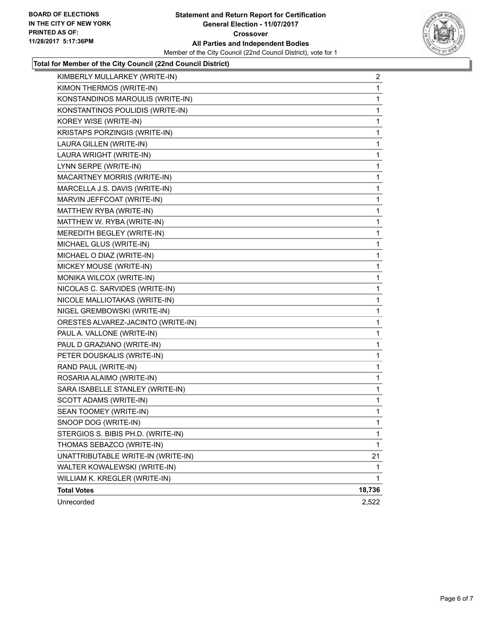

## **Total for Member of the City Council (22nd Council District)**

| KIMBERLY MULLARKEY (WRITE-IN)      | 2            |
|------------------------------------|--------------|
| KIMON THERMOS (WRITE-IN)           | 1            |
| KONSTANDINOS MAROULIS (WRITE-IN)   | 1            |
| KONSTANTINOS POULIDIS (WRITE-IN)   | 1            |
| KOREY WISE (WRITE-IN)              | 1            |
| KRISTAPS PORZINGIS (WRITE-IN)      | 1            |
| LAURA GILLEN (WRITE-IN)            | 1            |
| LAURA WRIGHT (WRITE-IN)            | 1            |
| LYNN SERPE (WRITE-IN)              | $\mathbf{1}$ |
| MACARTNEY MORRIS (WRITE-IN)        | 1            |
| MARCELLA J.S. DAVIS (WRITE-IN)     | 1            |
| MARVIN JEFFCOAT (WRITE-IN)         | 1            |
| MATTHEW RYBA (WRITE-IN)            | 1            |
| MATTHEW W. RYBA (WRITE-IN)         | 1            |
| MEREDITH BEGLEY (WRITE-IN)         | $\mathbf{1}$ |
| MICHAEL GLUS (WRITE-IN)            | 1            |
| MICHAEL O DIAZ (WRITE-IN)          | 1            |
| MICKEY MOUSE (WRITE-IN)            | 1            |
| MONIKA WILCOX (WRITE-IN)           | 1            |
| NICOLAS C. SARVIDES (WRITE-IN)     | 1            |
| NICOLE MALLIOTAKAS (WRITE-IN)      | $\mathbf{1}$ |
| NIGEL GREMBOWSKI (WRITE-IN)        | 1            |
| ORESTES ALVAREZ-JACINTO (WRITE-IN) | 1            |
| PAUL A. VALLONE (WRITE-IN)         | 1            |
| PAUL D GRAZIANO (WRITE-IN)         | 1            |
| PETER DOUSKALIS (WRITE-IN)         | 1            |
| RAND PAUL (WRITE-IN)               | $\mathbf{1}$ |
| ROSARIA ALAIMO (WRITE-IN)          | 1            |
| SARA ISABELLE STANLEY (WRITE-IN)   | 1            |
| <b>SCOTT ADAMS (WRITE-IN)</b>      | 1            |
| SEAN TOOMEY (WRITE-IN)             | 1            |
| SNOOP DOG (WRITE-IN)               | 1            |
| STERGIOS S. BIBIS PH.D. (WRITE-IN) | 1            |
| THOMAS SEBAZCO (WRITE-IN)          | 1            |
| UNATTRIBUTABLE WRITE-IN (WRITE-IN) | 21           |
| WALTER KOWALEWSKI (WRITE-IN)       | 1            |
| WILLIAM K. KREGLER (WRITE-IN)      | 1            |
| <b>Total Votes</b>                 | 18,736       |
| Unrecorded                         | 2,522        |
|                                    |              |